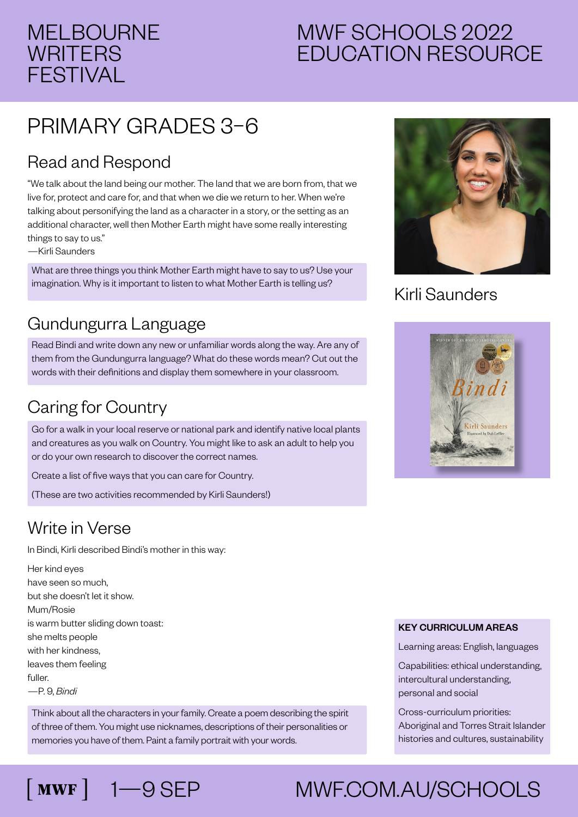# MELBOURNE **WRITERS** FESTIVAL

# MWF SCHOOLS 2022 EDUCATION RESOURCE

# PRIMARY GRADES 3–6

### Read and Respond

"We talk about the land being our mother. The land that we are born from, that we live for, protect and care for, and that when we die we return to her. When we're talking about personifying the land as a character in a story, or the setting as an additional character, well then Mother Earth might have some really interesting things to say to us."

—Kirli Saunders

What are three things you think Mother Earth might have to say to us? Use your imagination. Why is it important to listen to what Mother Earth is telling us?

### Gundungurra Language

Read Bindi and write down any new or unfamiliar words along the way. Are any of them from the Gundungurra language? What do these words mean? Cut out the words with their definitions and display them somewhere in your classroom.

### Caring for Country

Go for a walk in your local reserve or national park and identify native local plants and creatures as you walk on Country. You might like to ask an adult to help you or do your own research to discover the correct names.

Create a list of five ways that you can care for Country.

(These are two activities recommended by Kirli Saunders!)

#### Write in Verse

In Bindi, Kirli described Bindi's mother in this way:

Her kind eyes have seen so much, but she doesn't let it show. Mum/Rosie is warm butter sliding down toast: she melts people with her kindness, leaves them feeling fuller. —P. 9, *Bindi*

 $\lceil$  MWF  $\rceil$ 

Think about all the characters in your family. Create a poem describing the spirit of three of them. You might use nicknames, descriptions of their personalities or memories you have of them. Paint a family portrait with your words.



#### Kirli Saunders



#### KEY CURRICULUM AREAS

Learning areas: English, languages

Capabilities: ethical understanding, intercultural understanding, personal and social

Cross-curriculum priorities: Aboriginal and Torres Strait Islander histories and cultures, sustainability

# 1—9 SEP MWF.COM.AU/SCHOOLS